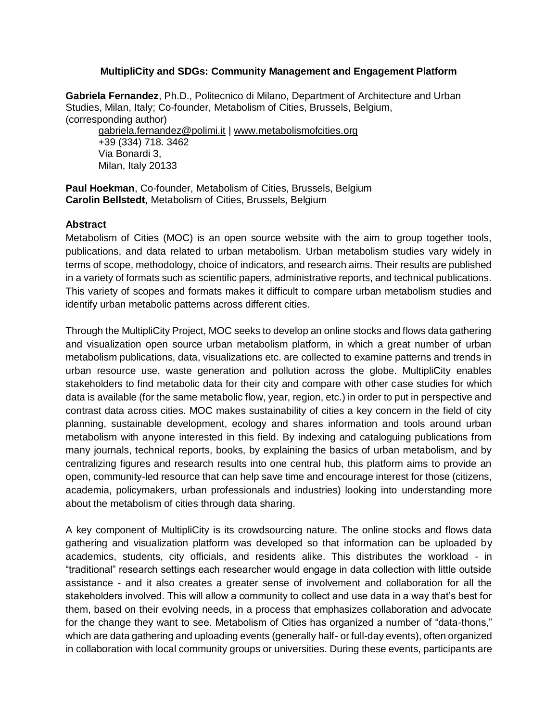### **MultipliCity and SDGs: Community Management and Engagement Platform**

**Gabriela Fernandez**, Ph.D., Politecnico di Milano, Department of Architecture and Urban Studies, Milan, Italy; Co-founder, Metabolism of Cities, Brussels, Belgium, (corresponding author)

[gabriela.fernandez@polimi.it](mailto:gabriela.fernandez@polimi.it) | [www.metabolismofcities.org](http://www.metabolismofcities.org/) +39 (334) 718. 3462 Via Bonardi 3, Milan, Italy 20133

Paul Hoekman, Co-founder, Metabolism of Cities, Brussels, Belgium **Carolin Bellstedt**, Metabolism of Cities, Brussels, Belgium

#### **Abstract**

Metabolism of Cities (MOC) is an open source website with the aim to group together tools, publications, and data related to urban metabolism. Urban metabolism studies vary widely in terms of scope, methodology, choice of indicators, and research aims. Their results are published in a variety of formats such as scientific papers, administrative reports, and technical publications. This variety of scopes and formats makes it difficult to compare urban metabolism studies and identify urban metabolic patterns across different cities.

Through the MultipliCity Project, MOC seeks to develop an online stocks and flows data gathering and visualization open source urban metabolism platform, in which a great number of urban metabolism publications, data, visualizations etc. are collected to examine patterns and trends in urban resource use, waste generation and pollution across the globe. MultipliCity enables stakeholders to find metabolic data for their city and compare with other case studies for which data is available (for the same metabolic flow, year, region, etc.) in order to put in perspective and contrast data across cities. MOC makes sustainability of cities a key concern in the field of city planning, sustainable development, ecology and shares information and tools around urban metabolism with anyone interested in this field. By indexing and cataloguing publications from many journals, technical reports, books, by explaining the basics of urban metabolism, and by centralizing figures and research results into one central hub, this platform aims to provide an open, community-led resource that can help save time and encourage interest for those (citizens, academia, policymakers, urban professionals and industries) looking into understanding more about the metabolism of cities through data sharing.

A key component of MultipliCity is its crowdsourcing nature. The online stocks and flows data gathering and visualization platform was developed so that information can be uploaded by academics, students, city officials, and residents alike. This distributes the workload - in "traditional" research settings each researcher would engage in data collection with little outside assistance - and it also creates a greater sense of involvement and collaboration for all the stakeholders involved. This will allow a community to collect and use data in a way that's best for them, based on their evolving needs, in a process that emphasizes collaboration and advocate for the change they want to see. Metabolism of Cities has organized a number of "data-thons," which are data gathering and uploading events (generally half- or full-day events), often organized in collaboration with local community groups or universities. During these events, participants are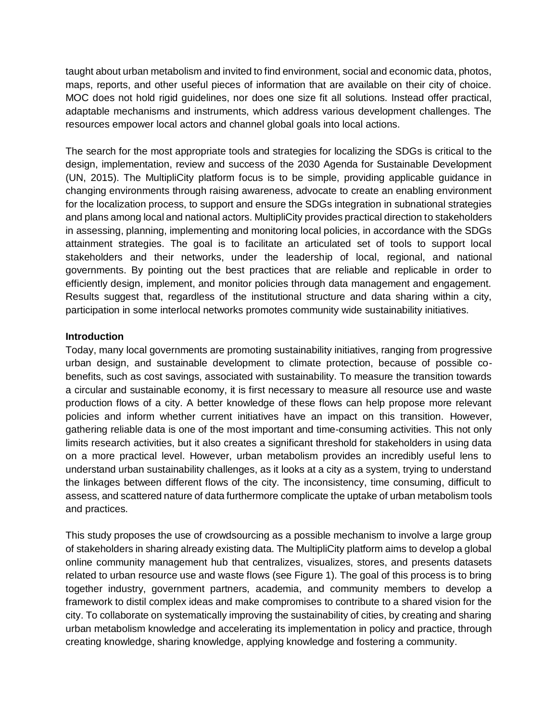taught about urban metabolism and invited to find environment, social and economic data, photos, maps, reports, and other useful pieces of information that are available on their city of choice. MOC does not hold rigid guidelines, nor does one size fit all solutions. Instead offer practical, adaptable mechanisms and instruments, which address various development challenges. The resources empower local actors and channel global goals into local actions.

The search for the most appropriate tools and strategies for localizing the SDGs is critical to the design, implementation, review and success of the 2030 Agenda for Sustainable Development (UN, 2015). The MultipliCity platform focus is to be simple, providing applicable guidance in changing environments through raising awareness, advocate to create an enabling environment for the localization process, to support and ensure the SDGs integration in subnational strategies and plans among local and national actors. MultipliCity provides practical direction to stakeholders in assessing, planning, implementing and monitoring local policies, in accordance with the SDGs attainment strategies. The goal is to facilitate an articulated set of tools to support local stakeholders and their networks, under the leadership of local, regional, and national governments. By pointing out the best practices that are reliable and replicable in order to efficiently design, implement, and monitor policies through data management and engagement. Results suggest that, regardless of the institutional structure and data sharing within a city, participation in some interlocal networks promotes community wide sustainability initiatives.

### **Introduction**

Today, many local governments are promoting sustainability initiatives, ranging from progressive urban design, and sustainable development to climate protection, because of possible cobenefits, such as cost savings, associated with sustainability. To measure the transition towards a circular and sustainable economy, it is first necessary to measure all resource use and waste production flows of a city. A better knowledge of these flows can help propose more relevant policies and inform whether current initiatives have an impact on this transition. However, gathering reliable data is one of the most important and time-consuming activities. This not only limits research activities, but it also creates a significant threshold for stakeholders in using data on a more practical level. However, urban metabolism provides an incredibly useful lens to understand urban sustainability challenges, as it looks at a city as a system, trying to understand the linkages between different flows of the city. The inconsistency, time consuming, difficult to assess, and scattered nature of data furthermore complicate the uptake of urban metabolism tools and practices.

This study proposes the use of crowdsourcing as a possible mechanism to involve a large group of stakeholders in sharing already existing data. The MultipliCity platform aims to develop a global online community management hub that centralizes, visualizes, stores, and presents datasets related to urban resource use and waste flows (see Figure 1). The goal of this process is to bring together industry, government partners, academia, and community members to develop a framework to distil complex ideas and make compromises to contribute to a shared vision for the city. To collaborate on systematically improving the sustainability of cities, by creating and sharing urban metabolism knowledge and accelerating its implementation in policy and practice, through creating knowledge, sharing knowledge, applying knowledge and fostering a community.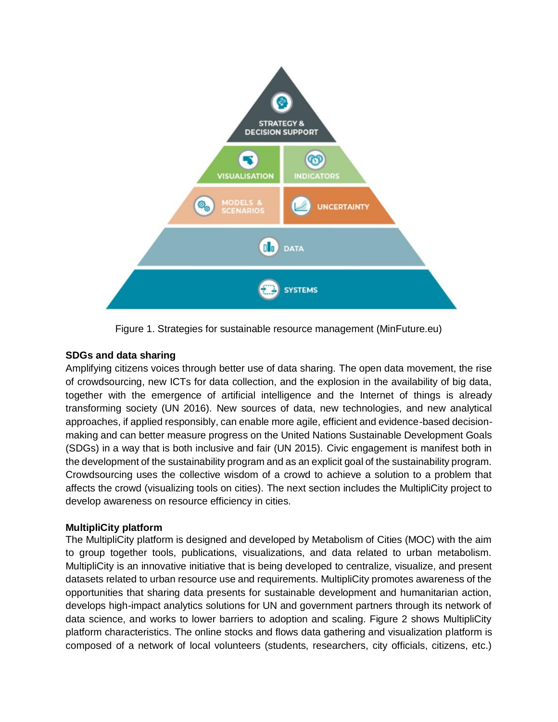

Figure 1. Strategies for sustainable resource management (MinFuture.eu)

## **SDGs and data sharing**

Amplifying citizens voices through better use of data sharing. The open data movement, the rise of crowdsourcing, new ICTs for data collection, and the explosion in the availability of big data, together with the emergence of artificial intelligence and the Internet of things is already transforming society (UN 2016). New sources of data, new technologies, and new analytical approaches, if applied responsibly, can enable more agile, efficient and evidence-based decisionmaking and can better measure progress on the United Nations Sustainable Development Goals (SDGs) in a way that is both inclusive and fair (UN 2015). Civic engagement is manifest both in the development of the sustainability program and as an explicit goal of the sustainability program. Crowdsourcing uses the collective wisdom of a crowd to achieve a solution to a problem that affects the crowd (visualizing tools on cities). The next section includes the MultipliCity project to develop awareness on resource efficiency in cities.

### **MultipliCity platform**

The MultipliCity platform is designed and developed by Metabolism of Cities (MOC) with the aim to group together tools, publications, visualizations, and data related to urban metabolism. MultipliCity is an innovative initiative that is being developed to centralize, visualize, and present datasets related to urban resource use and requirements. MultipliCity promotes awareness of the opportunities that sharing data presents for sustainable development and humanitarian action, develops high-impact analytics solutions for UN and government partners through its network of data science, and works to lower barriers to adoption and scaling. Figure 2 shows MultipliCity platform characteristics. The online stocks and flows data gathering and visualization platform is composed of a network of local volunteers (students, researchers, city officials, citizens, etc.)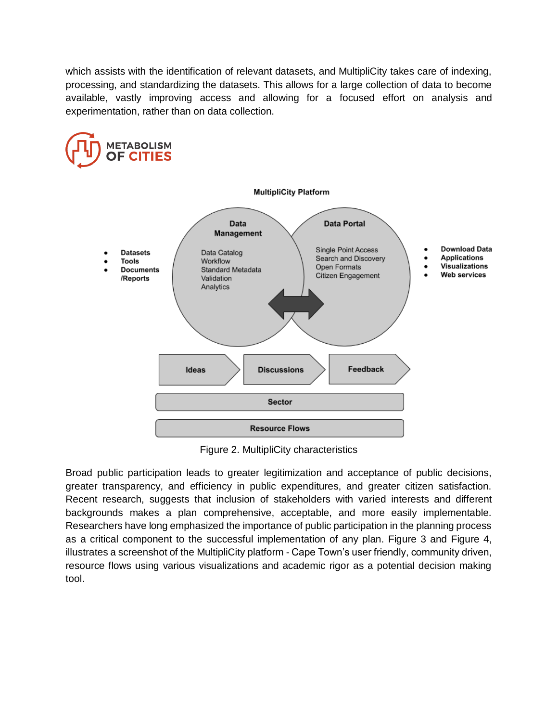which assists with the identification of relevant datasets, and MultipliCity takes care of indexing, processing, and standardizing the datasets. This allows for a large collection of data to become available, vastly improving access and allowing for a focused effort on analysis and experimentation, rather than on data collection.



Figure 2. MultipliCity characteristics

Broad public participation leads to greater legitimization and acceptance of public decisions, greater transparency, and efficiency in public expenditures, and greater citizen satisfaction. Recent research, suggests that inclusion of stakeholders with varied interests and different backgrounds makes a plan comprehensive, acceptable, and more easily implementable. Researchers have long emphasized the importance of public participation in the planning process as a critical component to the successful implementation of any plan. Figure 3 and Figure 4, illustrates a screenshot of the MultipliCity platform - Cape Town's user friendly, community driven, resource flows using various visualizations and academic rigor as a potential decision making tool.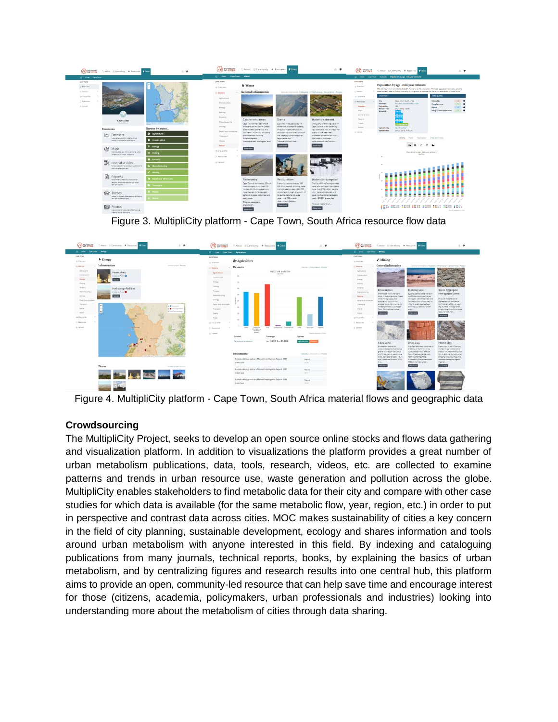| <b>(AD</b> erresum<br>Colour MCommunity & Resources Littles                                                  | 三平                                                         | (FV) SPAROUS                                                                        | About E Community & Resources                                                                                                                    |                                                                                                                                                                  | 8 @                                                                                                                                                             | <b><i>(<sup>N</sup>)</i></b> or cmes                                    |                                                                                                                                                                                                                                                                                  | C. About 10 Community & Resources C. Exter                                                                                                                   |                                                                   | ○ ●                                                                                 |
|--------------------------------------------------------------------------------------------------------------|------------------------------------------------------------|-------------------------------------------------------------------------------------|--------------------------------------------------------------------------------------------------------------------------------------------------|------------------------------------------------------------------------------------------------------------------------------------------------------------------|-----------------------------------------------------------------------------------------------------------------------------------------------------------------|-------------------------------------------------------------------------|----------------------------------------------------------------------------------------------------------------------------------------------------------------------------------------------------------------------------------------------------------------------------------|--------------------------------------------------------------------------------------------------------------------------------------------------------------|-------------------------------------------------------------------|-------------------------------------------------------------------------------------|
| C Com Cape Town                                                                                              |                                                            | C cries Care Town Water                                                             |                                                                                                                                                  |                                                                                                                                                                  |                                                                                                                                                                 | Ci Otles Cape Town                                                      |                                                                                                                                                                                                                                                                                  | Datasets Paguiation by age - mid-year estimate                                                                                                               |                                                                   |                                                                                     |
| CAPE TOWN<br>Ci Destalese<br>to factors'                                                                     |                                                            | <b>CAPE TOWN</b><br>O Dverview                                                      | <b>A</b> Water<br>General information<br>General information / Databett   Infrastructure   Documents / Photos                                    |                                                                                                                                                                  |                                                                                                                                                                 | CAPE TOWN<br>O Overview<br>by Sectors                                   | Population by age - mid-year estimate<br>Mid-year estimation provided by StateSA. According to the publication: "Mid-year population estimates uses the<br>latest available data on fertility, mortality and migration to estimate the size of the population of South Africa. 1 |                                                                                                                                                              |                                                                   |                                                                                     |
| 39 Do profile                                                                                                |                                                            | $-$ Sectors                                                                         |                                                                                                                                                  |                                                                                                                                                                  |                                                                                                                                                                 | AA City profile                                                         | Overview                                                                                                                                                                                                                                                                         |                                                                                                                                                              | Data quality                                                      |                                                                                     |
| O' Fabruries<br>JL Melviant<br>12.1<br>Cape Town                                                             | <b>CJOD</b> Town<br>MA HATCH                               | Apricutture<br>Canstruction<br>Frenpy<br><b>Tishing</b><br>Forestry<br>Nam/acturing | Catchment areas                                                                                                                                  | Dams                                                                                                                                                             | Water treatment                                                                                                                                                 | (1) Resources<br><b>Detasets</b><br>Magg<br>Journal articles<br>Reports | City.<br>Severeets)<br><b>Data paints</b><br><b>Time frames</b><br>Materials                                                                                                                                                                                                     | Cape Town, South Africa.<br>Mid-year population estimates<br>289<br>July 1, 2002 - None<br>w.<br>w 10<br>$\overline{ }$<br>$\overline{\phantom{a}}$<br>$-50$ | Reliability<br>Cornelatenam<br>Access<br>Geographical correlation | $\overline{1}$ $\overline{1}$ $\overline{1}$<br>$\sim$<br>$\frac{1}{2}$<br>$\cdots$ |
| Search Street                                                                                                | that I was concern that the com-<br>and in \$110, South of | Weing                                                                               | Cape Touris main catchment<br>areas are the mountain fynbox                                                                                      | Cape Toyon is supplied by 14<br>dams with a collective capacity                                                                                                  | The quality of drinking water in<br>Cape Town is of an extremely                                                                                                | Theore<br><b>Phone 4</b>                                                | <b>Uploaded by</b>                                                                                                                                                                                                                                                               | <b>Faul Hoekman</b>                                                                                                                                          |                                                                   |                                                                                     |
| Resources                                                                                                    | Browse by sector                                           | Netal and wholesale                                                                 | areas located to the east and<br>narth-east of the city, including                                                                               | of approximately \$00,000 Mi<br>(900 000 000 000 Vares). Most of                                                                                                 | high standard. This is due to the<br>quality of the treatment                                                                                                   | A Upload                                                                | <b>Upload date</b>                                                                                                                                                                                                                                                               | Jan. 21, 2019. 7:19 p.m.                                                                                                                                     |                                                                   |                                                                                     |
| $\sqrt{2}$<br>Datasets<br>Explore detabats on material flows.<br>steps consumption and mare                  | <b><i>Ot agriculture</i></b><br><b>R</b> Construction      | Transport<br>Warne                                                                  | the Hottenstots Holland.<br>flutersonderend.<br>Wertmershoek, Wellington, and                                                                    | this capacity is provided by six<br>large dame the<br>Thesweterskippf, Voel                                                                                      | processes, and from the fact<br>that most of the water<br>consumed in Cape Town is.                                                                             |                                                                         |                                                                                                                                                                                                                                                                                  | Charts Toble Replication Data download                                                                                                                       |                                                                   |                                                                                     |
| ෯<br>Maps<br>View boundaries, micro-territorial unts.<br>. Whatsucture maps and more                         | <b>4</b> Energy<br><b>Se Fishing</b>                       | Water<br>si, Oty profile<br>(3 Fastures)                                            | <b>Shew mere</b>                                                                                                                                 | <b>Stownoo</b>                                                                                                                                                   | <b>Showmone</b>                                                                                                                                                 |                                                                         |                                                                                                                                                                                                                                                                                  | 地质比性型<br>Population by age - mid-year estimate<br>Care Toyot                                                                                                 |                                                                   |                                                                                     |
| Journal articles<br>Relevant academic literature published in<br>pearly available paintings                  | <b>46</b> Forestry<br><b>la</b> Manufacturing              | /L Upload                                                                           |                                                                                                                                                  |                                                                                                                                                                  |                                                                                                                                                                 |                                                                         |                                                                                                                                                                                                                                                                                  |                                                                                                                                                              |                                                                   |                                                                                     |
| 目<br><b>Reports</b><br>Collectmental reports, implicational<br>reports, core erain reports, and other        | at Mining<br><b>W</b> Hetail and wholesale                 |                                                                                     | <b>Reservoirs</b><br>Cape Town is serviced by 25 bulk                                                                                            | Reticulation<br>Every day, approximately 880                                                                                                                     | Water consumption<br>The City of Cape Town provides                                                                                                             |                                                                         |                                                                                                                                                                                                                                                                                  |                                                                                                                                                              |                                                                   |                                                                                     |
| TWO INTERNATIONAL<br><b>R</b> Theses<br>Academic theses, plasertations, and other<br>relevant applemic nexts | • Тланаронт                                                |                                                                                     | reservoirs and more than 100<br>smaller distribution reservoirs<br>store treated driving water<br>before it is ploed to homes and<br>businesses. | '000 MI of treated, drinking water<br>is distribuous to nearly 650,000<br>consumers through a network of<br>14 pump stations, 26 large<br>reservoirs, 103 amater | water and sanitation services to<br>more than 2.74 million people<br>(2011 Centus) via mater and<br>sever connections that supply<br>nearly 650 000 properties. |                                                                         |                                                                                                                                                                                                                                                                                  |                                                                                                                                                              |                                                                   |                                                                                     |
| 病<br>Photos<br>View process of resource informations.<br>meanial figure and more                             |                                                            |                                                                                     | <b>Why are reservairs</b><br>Important?<br>Stewman                                                                                               | reservoirs and about<br><b>Showmen</b>                                                                                                                           | However, Cape Town<br><b>Downtown</b>                                                                                                                           |                                                                         |                                                                                                                                                                                                                                                                                  |                                                                                                                                                              |                                                                   | Wada by Metabolism of Chian                                                         |

Figure 3. MultipliCity platform - Cape Town, South Africa resource flow data



Figure 4. MultipliCity platform - Cape Town, South Africa material flows and geographic data

# **Crowdsourcing**

The MultipliCity Project, seeks to develop an open source online stocks and flows data gathering and visualization platform. In addition to visualizations the platform provides a great number of urban metabolism publications, data, tools, research, videos, etc. are collected to examine patterns and trends in urban resource use, waste generation and pollution across the globe. MultipliCity enables stakeholders to find metabolic data for their city and compare with other case studies for which data is available (for the same metabolic flow, year, region, etc.) in order to put in perspective and contrast data across cities. MOC makes sustainability of cities a key concern in the field of city planning, sustainable development, ecology and shares information and tools around urban metabolism with anyone interested in this field. By indexing and cataloguing publications from many journals, technical reports, books, by explaining the basics of urban metabolism, and by centralizing figures and research results into one central hub, this platform aims to provide an open, community-led resource that can help save time and encourage interest for those (citizens, academia, policymakers, urban professionals and industries) looking into understanding more about the metabolism of cities through data sharing.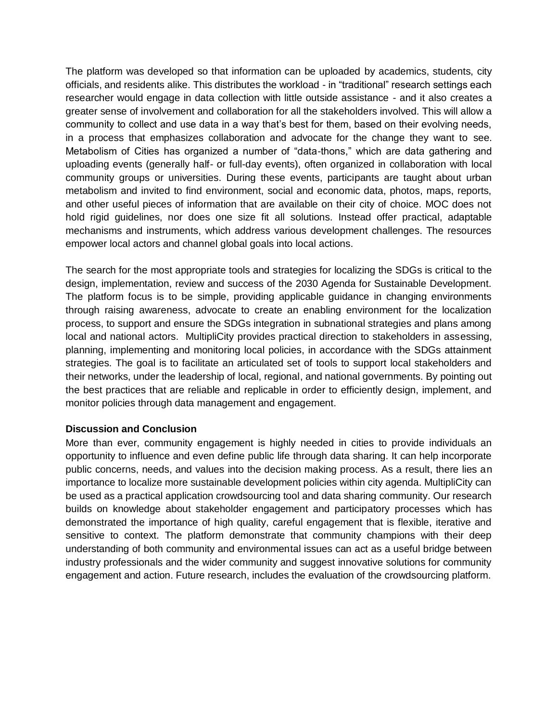The platform was developed so that information can be uploaded by academics, students, city officials, and residents alike. This distributes the workload - in "traditional" research settings each researcher would engage in data collection with little outside assistance - and it also creates a greater sense of involvement and collaboration for all the stakeholders involved. This will allow a community to collect and use data in a way that's best for them, based on their evolving needs, in a process that emphasizes collaboration and advocate for the change they want to see. Metabolism of Cities has organized a number of "data-thons," which are data gathering and uploading events (generally half- or full-day events), often organized in collaboration with local community groups or universities. During these events, participants are taught about urban metabolism and invited to find environment, social and economic data, photos, maps, reports, and other useful pieces of information that are available on their city of choice. MOC does not hold rigid guidelines, nor does one size fit all solutions. Instead offer practical, adaptable mechanisms and instruments, which address various development challenges. The resources empower local actors and channel global goals into local actions.

The search for the most appropriate tools and strategies for localizing the SDGs is critical to the design, implementation, review and success of the 2030 Agenda for Sustainable Development. The platform focus is to be simple, providing applicable guidance in changing environments through raising awareness, advocate to create an enabling environment for the localization process, to support and ensure the SDGs integration in subnational strategies and plans among local and national actors. MultipliCity provides practical direction to stakeholders in assessing, planning, implementing and monitoring local policies, in accordance with the SDGs attainment strategies. The goal is to facilitate an articulated set of tools to support local stakeholders and their networks, under the leadership of local, regional, and national governments. By pointing out the best practices that are reliable and replicable in order to efficiently design, implement, and monitor policies through data management and engagement.

### **Discussion and Conclusion**

More than ever, community engagement is highly needed in cities to provide individuals an opportunity to influence and even define public life through data sharing. It can help incorporate public concerns, needs, and values into the decision making process. As a result, there lies an importance to localize more sustainable development policies within city agenda. MultipliCity can be used as a practical application crowdsourcing tool and data sharing community. Our research builds on knowledge about stakeholder engagement and participatory processes which has demonstrated the importance of high quality, careful engagement that is flexible, iterative and sensitive to context. The platform demonstrate that community champions with their deep understanding of both community and environmental issues can act as a useful bridge between industry professionals and the wider community and suggest innovative solutions for community engagement and action. Future research, includes the evaluation of the crowdsourcing platform.